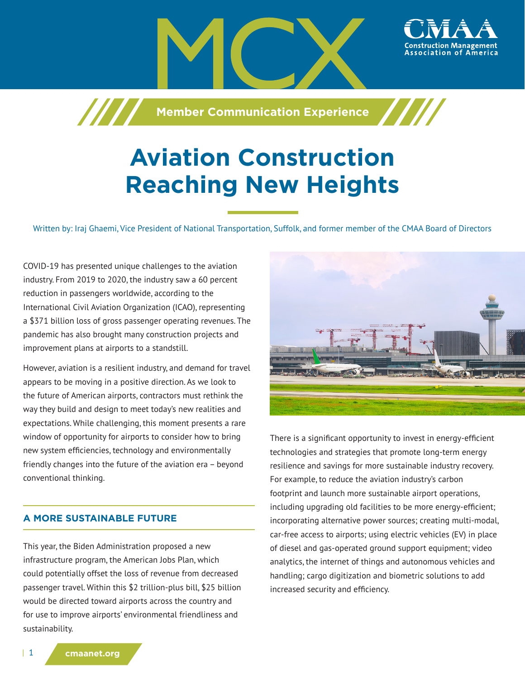

# **Aviation Construction Reaching New Heights**

Written by: Iraj Ghaemi, Vice President of National Transportation, Suffolk, and former member of the CMAA Board of Directors

COVID-19 has presented unique challenges to the aviation industry. From 2019 to 2020, the industry saw a 60 percent reduction in passengers worldwide, according to the International Civil Aviation Organization (ICAO), representing a \$371 billion loss of gross passenger operating revenues. The pandemic has also brought many construction projects and improvement plans at airports to a standstill.

However, aviation is a resilient industry, and demand for travel appears to be moving in a positive direction. As we look to the future of American airports, contractors must rethink the way they build and design to meet today's new realities and expectations. While challenging, this moment presents a rare window of opportunity for airports to consider how to bring new system efficiencies, technology and environmentally friendly changes into the future of the aviation era – beyond conventional thinking.

### **A MORE SUSTAINABLE FUTURE**

This year, the Biden Administration proposed a new infrastructure program, the American Jobs Plan, which could potentially offset the loss of revenue from decreased passenger travel. Within this \$2 trillion-plus bill, \$25 billion would be directed toward airports across the country and for use to improve airports' environmental friendliness and sustainability.



There is a significant opportunity to invest in energy-efficient technologies and strategies that promote long-term energy resilience and savings for more sustainable industry recovery. For example, to reduce the aviation industry's carbon footprint and launch more sustainable airport operations, including upgrading old facilities to be more energy-efficient; incorporating alternative power sources; creating multi-modal, car-free access to airports; using electric vehicles (EV) in place of diesel and gas-operated ground support equipment; video analytics, the internet of things and autonomous vehicles and handling; cargo digitization and biometric solutions to add increased security and efficiency.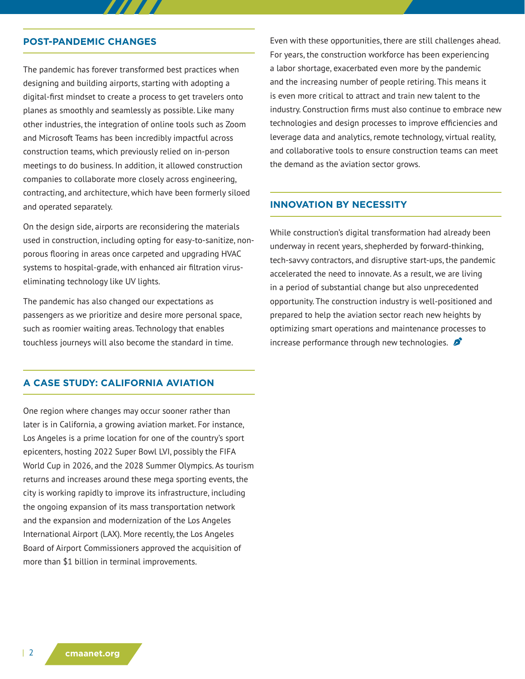#### **POST-PANDEMIC CHANGES**

The pandemic has forever transformed best practices when designing and building airports, starting with adopting a digital-first mindset to create a process to get travelers onto planes as smoothly and seamlessly as possible. Like many other industries, the integration of online tools such as Zoom and Microsoft Teams has been incredibly impactful across construction teams, which previously relied on in-person meetings to do business. In addition, it allowed construction companies to collaborate more closely across engineering, contracting, and architecture, which have been formerly siloed and operated separately.

On the design side, airports are reconsidering the materials used in construction, including opting for easy-to-sanitize, nonporous flooring in areas once carpeted and upgrading HVAC systems to hospital-grade, with enhanced air filtration viruseliminating technology like UV lights.

The pandemic has also changed our expectations as passengers as we prioritize and desire more personal space, such as roomier waiting areas. Technology that enables touchless journeys will also become the standard in time.

## **A CASE STUDY: CALIFORNIA AVIATION**

One region where changes may occur sooner rather than later is in California, a growing aviation market. For instance, Los Angeles is a prime location for one of the country's sport epicenters, hosting 2022 Super Bowl LVI, possibly the FIFA World Cup in 2026, and the 2028 Summer Olympics. As tourism returns and increases around these mega sporting events, the city is working rapidly to improve its infrastructure, including the ongoing expansion of its mass transportation network and the expansion and modernization of the Los Angeles International Airport (LAX). More recently, the Los Angeles Board of Airport Commissioners approved the acquisition of more than \$1 billion in terminal improvements.

Even with these opportunities, there are still challenges ahead. For years, the construction workforce has been experiencing a labor shortage, exacerbated even more by the pandemic and the increasing number of people retiring. This means it is even more critical to attract and train new talent to the industry. Construction firms must also continue to embrace new technologies and design processes to improve efficiencies and leverage data and analytics, remote technology, virtual reality, and collaborative tools to ensure construction teams can meet the demand as the aviation sector grows.

#### **INNOVATION BY NECESSITY**

While construction's digital transformation had already been underway in recent years, shepherded by forward-thinking, tech-savvy contractors, and disruptive start-ups, the pandemic accelerated the need to innovate. As a result, we are living in a period of substantial change but also unprecedented opportunity. The construction industry is well-positioned and prepared to help the aviation sector reach new heights by optimizing smart operations and maintenance processes to increase performance through new technologies.  $\mathcal{L}$